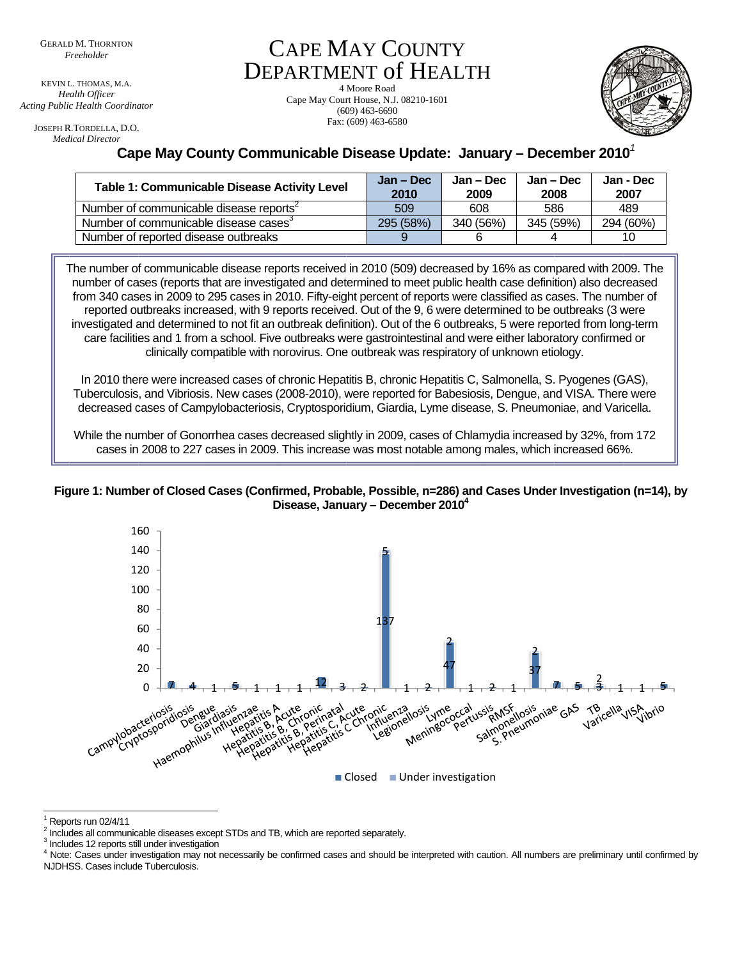KEVIN L. THOMAS, M.A. Health Officer Acting Public Health Coordinator

JOSEPH R.TORDELLA, D.O. **Medical Director** 

## **CAPE MAY COUNTY DEPARTMENT of HEALTH**

4 Moore Road Cape May Court House, N.J. 08210-1601  $(609)$  463-6690 Fax: (609) 463-6580



## Cape May County Communicable Disease Update: January - December 2010<sup>7</sup>

| Table 1: Communicable Disease Activity Level        | Jan – Dec<br>2010 | Jan – Dec<br>2009 | Jan – Dec<br>2008 | Jan - Dec<br>2007 |
|-----------------------------------------------------|-------------------|-------------------|-------------------|-------------------|
| Number of communicable disease reports <sup>2</sup> | 509               | 608               | 586               | 489               |
| Number of communicable disease cases <sup>3</sup>   | 295 (58%)         | 340 (56%)         | 345 (59%)         | 294 (60%)         |
| Number of reported disease outbreaks                |                   |                   |                   | 10                |

The number of communicable disease reports received in 2010 (509) decreased by 16% as compared with 2009. The number of cases (reports that are investigated and determined to meet public health case definition) also decreased from 340 cases in 2009 to 295 cases in 2010. Fifty-eight percent of reports were classified as cases. The number of reported outbreaks increased, with 9 reports received. Out of the 9, 6 were determined to be outbreaks (3 were investigated and determined to not fit an outbreak definition). Out of the 6 outbreaks, 5 were reported from long-term care facilities and 1 from a school. Five outbreaks were gastrointestinal and were either laboratory confirmed or clinically compatible with norovirus. One outbreak was respiratory of unknown etiology.

In 2010 there were increased cases of chronic Hepatitis B, chronic Hepatitis C, Salmonella, S. Pyogenes (GAS), Tuberculosis, and Vibriosis. New cases (2008-2010), were reported for Babesiosis, Dengue, and VISA. There were decreased cases of Campylobacteriosis, Cryptosporidium, Giardia, Lyme disease, S. Pneumoniae, and Varicella.

While the number of Gonorrhea cases decreased slightly in 2009, cases of Chlamydia increased by 32%, from 172 cases in 2008 to 227 cases in 2009. This increase was most notable among males, which increased 66%.

Figure 1: Number of Closed Cases (Confirmed, Probable, Possible, n=286) and Cases Under Investigation (n=14), by Disease, January – December 2010<sup>4</sup>



Reports run 02/4/11

 $2$  Includes all communicable diseases except STDs and TB, which are reported separately.

<sup>&</sup>lt;sup>3</sup> Includes 12 reports still under investigation

<sup>&</sup>lt;sup>4</sup> Note: Cases under investigation may not necessarily be confirmed cases and should be interpreted with caution. All numbers are preliminary until confirmed by NJDHSS. Cases include Tuberculosis.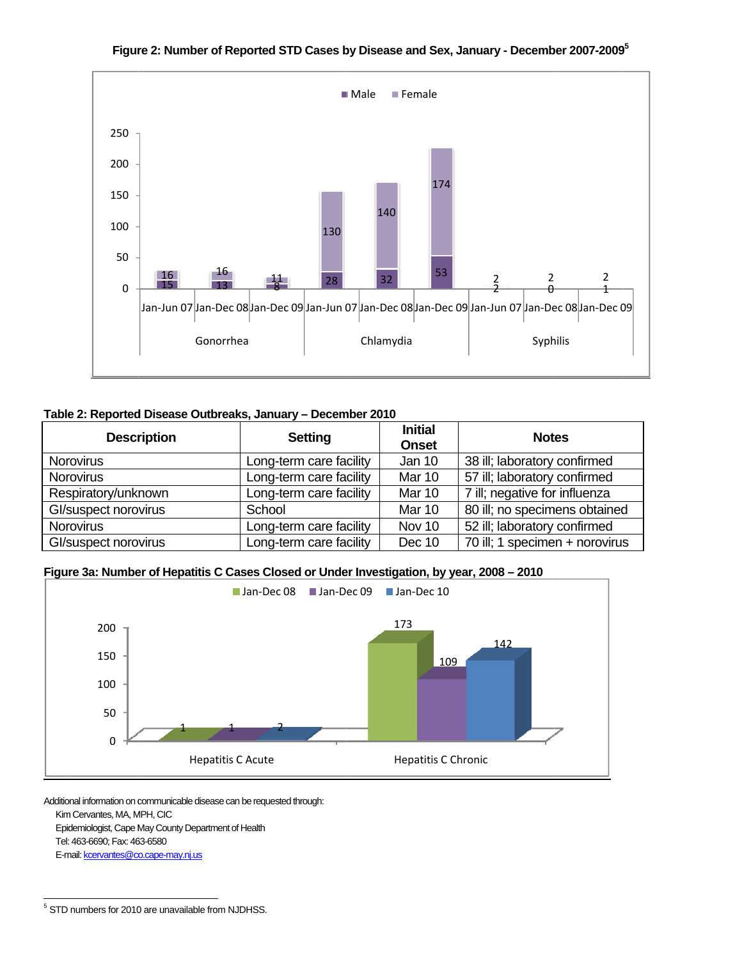

Figure 2: Number of Reported STD Cases by Disease and Sex, January - December 2007-2009<sup>5</sup>

## Table 2: Reported Disease Outbreaks, January – December 2010

|                                                              |                         |                                | Jan-Jun 07 Jan-Dec 08 Jan-Dec 09 Jan-Jun 07 Jan-Dec 08 Jan-Dec 09 Jan-Jun 07 Jan-Dec 08 Jan-Dec 09 |  |  |  |
|--------------------------------------------------------------|-------------------------|--------------------------------|----------------------------------------------------------------------------------------------------|--|--|--|
| Gonorrhea                                                    |                         | Chlamydia                      | Syphilis                                                                                           |  |  |  |
|                                                              |                         |                                |                                                                                                    |  |  |  |
| Table 2: Reported Disease Outbreaks, January - December 2010 |                         |                                |                                                                                                    |  |  |  |
|                                                              |                         |                                |                                                                                                    |  |  |  |
| <b>Description</b>                                           | <b>Setting</b>          | <b>Initial</b><br><b>Onset</b> | <b>Notes</b>                                                                                       |  |  |  |
| <b>Norovirus</b>                                             | Long-term care facility | Jan 10                         | 38 ill; laboratory confirmed                                                                       |  |  |  |
| <b>Norovirus</b>                                             | Long-term care facility | Mar 10                         | 57 ill; laboratory confirmed                                                                       |  |  |  |
| Respiratory/unknown                                          | Long-term care facility | Mar 10                         | 7 ill; negative for influenza                                                                      |  |  |  |
| Gl/suspect norovirus                                         | School                  | Mar 10                         | 80 ill; no specimens obtained                                                                      |  |  |  |
| <b>Norovirus</b>                                             | Long-term care facility | Nov 10                         | 52 ill; laboratory confirmed                                                                       |  |  |  |

Figure 3a: Number of Hepatitis C Cases Closed or Under Investigation, by year, 2008 – 2010



Additional information on communicable disease can be requested through: Kim m Cervantes, MA, M MPH, CIC Epidemiologist, Cape May County Department of Health Tel: 463-6690; Fax: 46 63-6580

E-mail: kcervantes@co.cape-may.nj.us

 $\frac{1}{5}$  STD l numbers for 2010 l 0 are unavailable f l from NJDHSS.